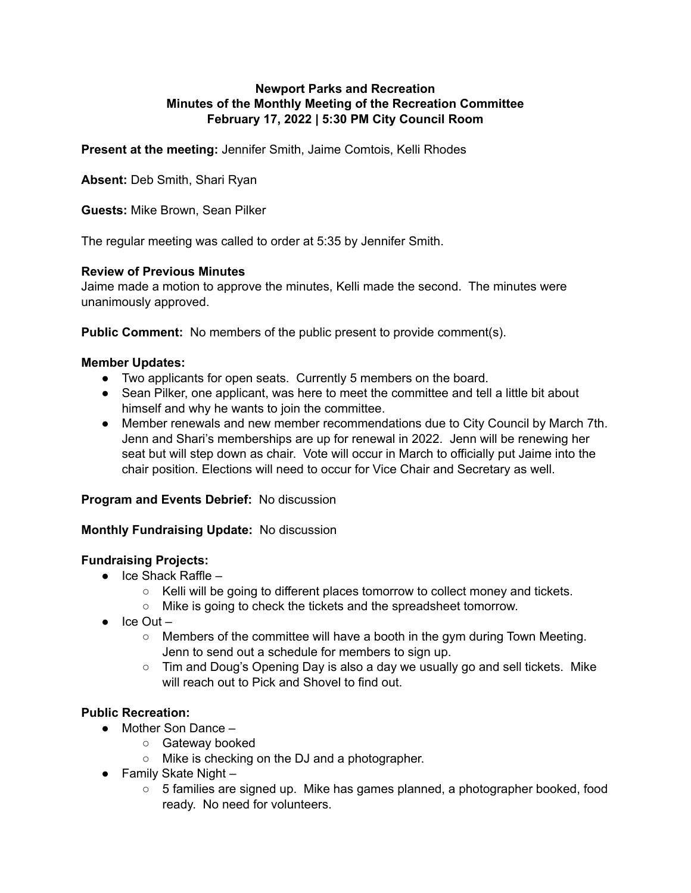## **Newport Parks and Recreation Minutes of the Monthly Meeting of the Recreation Committee February 17, 2022 | 5:30 PM City Council Room**

**Present at the meeting:** Jennifer Smith, Jaime Comtois, Kelli Rhodes

**Absent:** Deb Smith, Shari Ryan

**Guests:** Mike Brown, Sean Pilker

The regular meeting was called to order at 5:35 by Jennifer Smith.

#### **Review of Previous Minutes**

Jaime made a motion to approve the minutes, Kelli made the second. The minutes were unanimously approved.

**Public Comment:** No members of the public present to provide comment(s).

#### **Member Updates:**

- Two applicants for open seats. Currently 5 members on the board.
- Sean Pilker, one applicant, was here to meet the committee and tell a little bit about himself and why he wants to join the committee.
- Member renewals and new member recommendations due to City Council by March 7th. Jenn and Shari's memberships are up for renewal in 2022. Jenn will be renewing her seat but will step down as chair. Vote will occur in March to officially put Jaime into the chair position. Elections will need to occur for Vice Chair and Secretary as well.

## **Program and Events Debrief:** No discussion

## **Monthly Fundraising Update:** No discussion

## **Fundraising Projects:**

- $\bullet$  Ice Shack Raffle
	- $\circ$  Kelli will be going to different places tomorrow to collect money and tickets.
	- Mike is going to check the tickets and the spreadsheet tomorrow.
- $\bullet$  Ice Out
	- $\circ$  Members of the committee will have a booth in the gym during Town Meeting. Jenn to send out a schedule for members to sign up.
	- $\circ$  Tim and Doug's Opening Day is also a day we usually go and sell tickets. Mike will reach out to Pick and Shovel to find out.

## **Public Recreation:**

- Mother Son Dance
	- Gateway booked
	- Mike is checking on the DJ and a photographer.
- $\bullet$  Family Skate Night
	- $\circ$  5 families are signed up. Mike has games planned, a photographer booked, food ready. No need for volunteers.